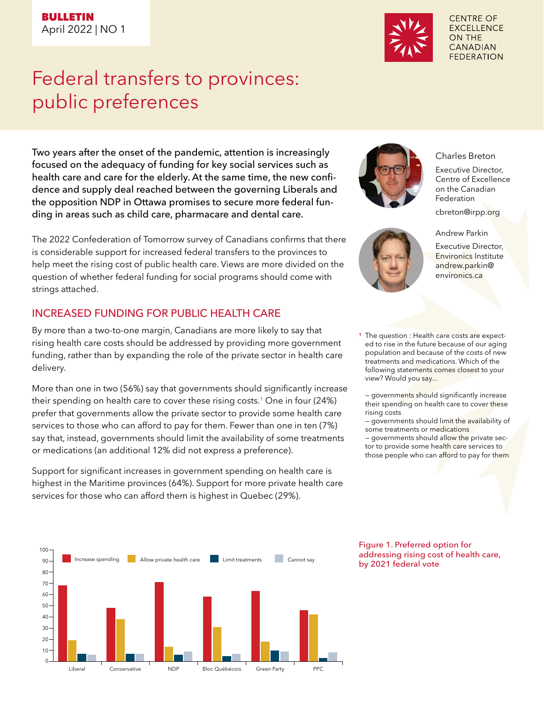# Federal transfers to provinces: public preferences

Two years after the onset of the pandemic, attention is increasingly focused on the adequacy of funding for key social services such as health care and care for the elderly. At the same time, the new confidence and supply deal reached between the governing Liberals and the opposition NDP in Ottawa promises to secure more federal funding in areas such as child care, pharmacare and dental care.

The 2022 Confederation of Tomorrow survey of Canadians confirms that there is considerable support for increased federal transfers to the provinces to help meet the rising cost of public health care. Views are more divided on the question of whether federal funding for social programs should come with strings attached.

# INCREASED FUNDING FOR PUBLIC HEALTH CARE

By more than a two-to-one margin, Canadians are more likely to say that rising health care costs should be addressed by providing more government funding, rather than by expanding the role of the private sector in health care delivery.

More than one in two (56%) say that governments should significantly increase their spending on health care to cover these rising costs.1 One in four (24%) prefer that governments allow the private sector to provide some health care services to those who can afford to pay for them. Fewer than one in ten (7%) say that, instead, governments should limit the availability of some treatments or medications (an additional 12% did not express a preference).

Support for significant increases in government spending on health care is highest in the Maritime provinces (64%). Support for more private health care services for those who can afford them is highest in Quebec (29%).





**CENTRE OF EXCELLENCE ON THE CANADIAN FEDERATION** 

### Charles Breton

Executive Director, Centre of Excellence on the Canadian Federation

cbreton@irpp.org

Andrew Parkin



<sup>1</sup> The question : Health care costs are expected to rise in the future because of our aging population and because of the costs of new treatments and medications. Which of the following statements comes closest to your view? Would you say...

– governme<mark>nts sh</mark>ould significantly increase their spending on health care to cover these rising costs

– governments should limit the availability of some treatments or medications

- governments should allow the private sector to provide some health care services to those people who can afford to pay for them

#### Figure 1. Preferred option for addressing rising cost of health care, by 2021 federal vote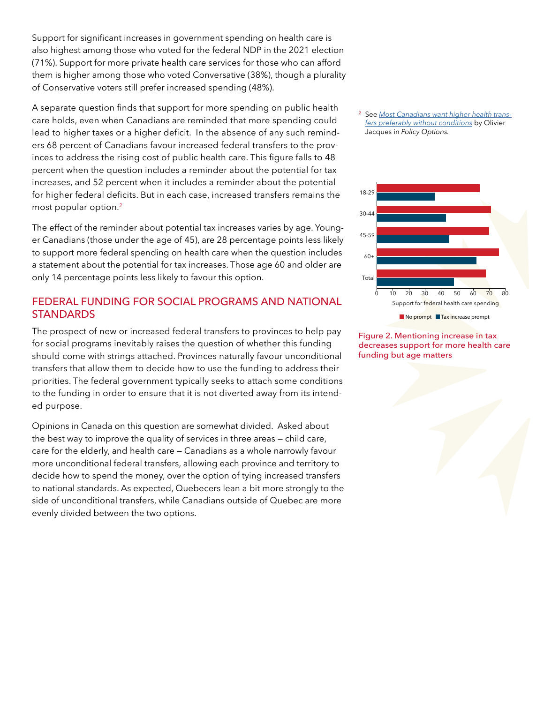Support for significant increases in government spending on health care is also highest among those who voted for the federal NDP in the 2021 election (71%). Support for more private health care services for those who can afford them is higher among those who voted Conversative (38%), though a plurality of Conservative voters still prefer increased spending (48%).

A separate question finds that support for more spending on public health care holds, even when Canadians are reminded that more spending could lead to higher taxes or a higher deficit. In the absence of any such reminders 68 percent of Canadians favour increased federal transfers to the provinces to address the rising cost of public health care. This figure falls to 48 percent when the question includes a reminder about the potential for tax increases, and 52 percent when it includes a reminder about the potential for higher federal deficits. But in each case, increased transfers remains the most popular option.2

The effect of the reminder about potential tax increases varies by age. Younger Canadians (those under the age of 45), are 28 percentage points less likely to support more federal spending on health care when the question includes a statement about the potential for tax increases. Those age 60 and older are only 14 percentage points less likely to favour this option.

## FEDERAL FUNDING FOR SOCIAL PROGRAMS AND NATIONAL **STANDARDS**

The prospect of new or increased federal transfers to provinces to help pay for social programs inevitably raises the question of whether this funding should come with strings attached. Provinces naturally favour unconditional transfers that allow them to decide how to use the funding to address their priorities. The federal government typically seeks to attach some conditions to the funding in order to ensure that it is not diverted away from its intended purpose.

Opinions in Canada on this question are somewhat divided. Asked about the best way to improve the quality of services in three areas — child care, care for the elderly, and health care — Canadians as a whole narrowly favour more unconditional federal transfers, allowing each province and territory to decide how to spend the money, over the option of tying increased transfers to national standards. As expected, Quebecers lean a bit more strongly to the side of unconditional transfers, while Canadians outside of Quebec are more evenly divided between the two options.





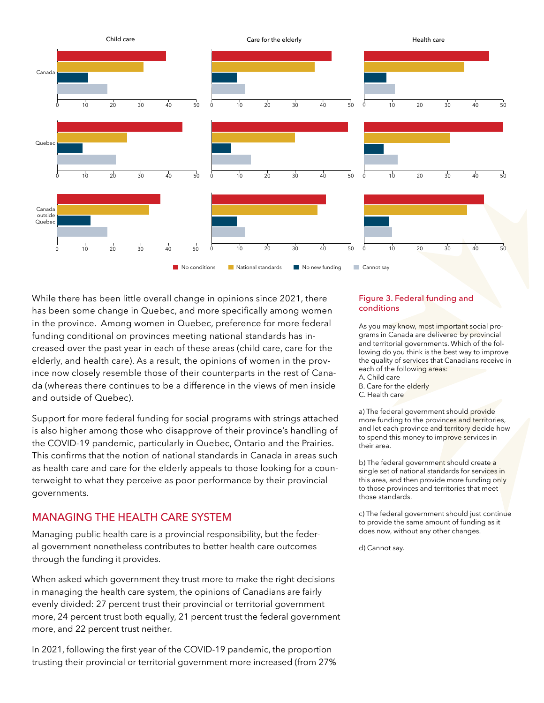

While there has been little overall change in opinions since 2021, there has been some change in Quebec, and more specifically among women in the province. Among women in Quebec, preference for more federal funding conditional on provinces meeting national standards has increased over the past year in each of these areas (child care, care for the elderly, and health care). As a result, the opinions of women in the province now closely resemble those of their counterparts in the rest of Canada (whereas there continues to be a difference in the views of men inside and outside of Quebec).

Support for more federal funding for social programs with strings attached is also higher among those who disapprove of their province's handling of the COVID-19 pandemic, particularly in Quebec, Ontario and the Prairies. This confirms that the notion of national standards in Canada in areas such as health care and care for the elderly appeals to those looking for a counterweight to what they perceive as poor performance by their provincial governments.

## MANAGING THE HEALTH CARE SYSTEM

Managing public health care is a provincial responsibility, but the federal government nonetheless contributes to better health care outcomes through the funding it provides.

When asked which government they trust more to make the right decisions in managing the health care system, the opinions of Canadians are fairly evenly divided: 27 percent trust their provincial or territorial government more, 24 percent trust both equally, 21 percent trust the federal government more, and 22 percent trust neither.

In 2021, following the first year of the COVID-19 pandemic, the proportion trusting their provincial or territorial government more increased (from 27%

#### Figure 3. Federal funding and conditions

As you may know, most important social programs in Canada are delivered by provincial and territorial governments. Which of the following do you think is the best way to improve the quality of services that Canadians receive in each of the following areas:

- A. Child care
- B. Care for the elderly
- C. Health care

a) The federal government should provide more funding to the provinces and territories, and let each province and territory decide how to spend this money to improve services in their area.

b) The federal government should create a single set of national standards for services in this area, and then provide more funding only to those provinces and territories that meet those standards.

c) The federal government should just continue to provide the same amount of funding as it does now, without any other changes.

d) Cannot say.